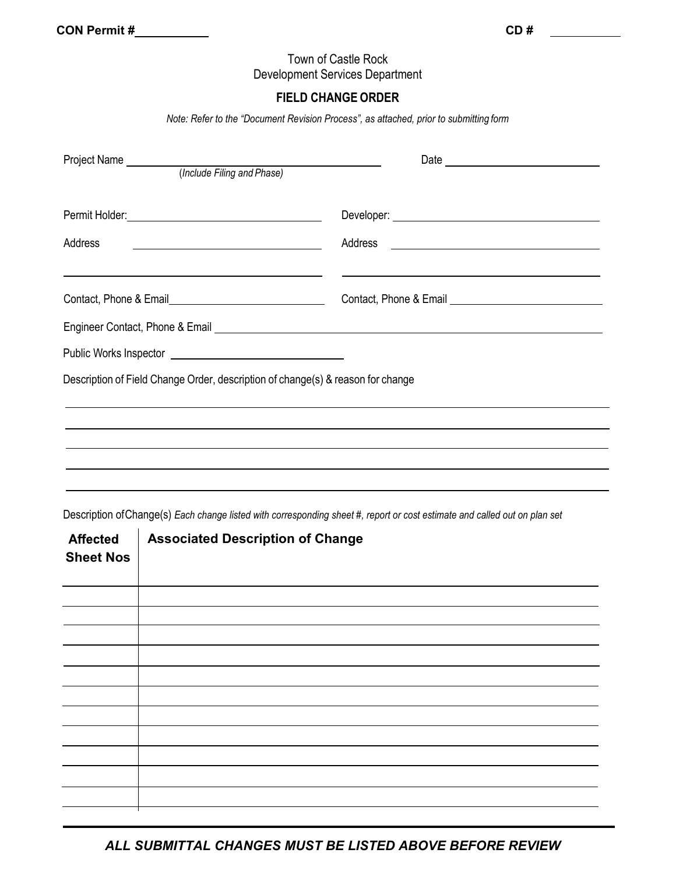# Town of Castle Rock Development Services Department

# **FIELD CHANGE ORDER**

*Note: Refer to the "Document Revision Process", as attached, prior to submitting form*

| Address<br><u> 1989 - Johann Stein, mars an deutscher Stein und der Stein und der Stein und der Stein und der Stein und der</u> |  |
|---------------------------------------------------------------------------------------------------------------------------------|--|
| Contact, Phone & Email Equation 2011                                                                                            |  |
|                                                                                                                                 |  |
|                                                                                                                                 |  |
| Description of Field Change Order, description of change(s) & reason for change                                                 |  |
|                                                                                                                                 |  |
| <u> 1989 - Andrea Santa Andrea Andrea Santa Andrea Andrea Andrea Andrea Andrea Andrea Andrea Andrea Andrea Andre</u>            |  |
|                                                                                                                                 |  |
|                                                                                                                                 |  |

Description ofChange(s) *Each change listed with corresponding sheet #, report or cost estimate and called out on plan set*

| <b>Affected</b><br><b>Sheet Nos</b> | <b>Associated Description of Change</b> |
|-------------------------------------|-----------------------------------------|
|                                     |                                         |
|                                     |                                         |
|                                     |                                         |
|                                     |                                         |
|                                     |                                         |
|                                     |                                         |
|                                     |                                         |
|                                     |                                         |
|                                     |                                         |
|                                     |                                         |
|                                     |                                         |
|                                     |                                         |

*ALL SUBMITTAL CHANGES MUST BE LISTED ABOVE BEFORE REVIEW*